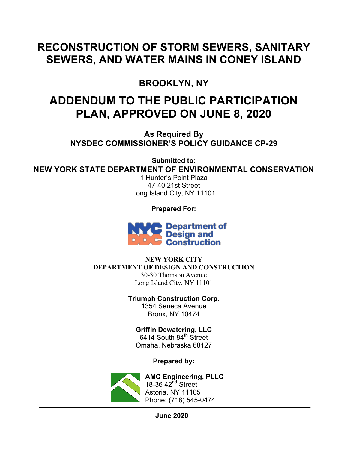#### **RECONSTRUCTION OF STORM SEWERS, SANITARY SEWERS, AND WATER MAINS IN CONEY ISLAND**

#### **BROOKLYN, NY**

### **ADDENDUM TO THE PUBLIC PARTICIPATION PLAN, APPROVED ON JUNE 8, 2020**

**As Required By NYSDEC COMMISSIONER'S POLICY GUIDANCE CP-29**

**Submitted to: NEW YORK STATE DEPARTMENT OF ENVIRONMENTAL CONSERVATION**

1 Hunter's Point Plaza 47-40 21st Street Long Island City, NY 11101

**Prepared For:**



**NEW YORK CITY DEPARTMENT OF DESIGN AND CONSTRUCTION** 30-30 Thomson Avenue Long Island City, NY 11101

> **Triumph Construction Corp.** 1354 Seneca Avenue Bronx, NY 10474

**Griffin Dewatering, LLC**  $6414$  South  $84^{\text{th}}$  Street Omaha, Nebraska 68127

**Prepared by:**



**AMC Engineering, PLLC** 18-36  $42^{nd}$  Street Astoria, NY 11105 Phone: (718) 545-0474

**June 2020**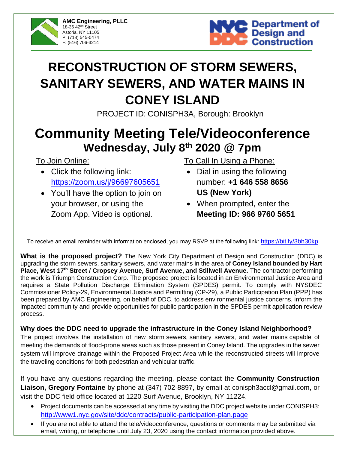



# **RECONSTRUCTION OF STORM SEWERS, SANITARY SEWERS, AND WATER MAINS IN CONEY ISLAND**

PROJECT ID: CONISPH3A, Borough: Brooklyn

# **Community Meeting Tele/Videoconference Wednesday, July 8 th 2020 @ 7pm**

To Join Online:

- Click the following link: <https://zoom.us/j/96697605651>
- You'll have the option to join on your browser, or using the Zoom App. Video is optional.

To Call In Using a Phone:

- Dial in using the following number: **+1 646 558 8656 US (New York)**
- When prompted, enter the **Meeting ID: 966 9760 5651**

To receive an email reminder with information enclosed, you may RSVP at the following link: <https://bit.ly/3bh30kp>

**What is the proposed project?** The New York City Department of Design and Construction (DDC) is upgrading the storm sewers, sanitary sewers, and water mains in the area of **Coney Island bounded by Hart Place, West 17th Street / Cropsey Avenue, Surf Avenue, and Stillwell Avenue.** The contractor performing the work is Triumph Construction Corp. The proposed project is located in an Environmental Justice Area and requires a State Pollution Discharge Elimination System (SPDES) permit. To comply with NYSDEC Commissioner Policy-29, Environmental Justice and Permitting (CP-29), a Public Participation Plan (PPP) has been prepared by AMC Engineering, on behalf of DDC, to address environmental justice concerns, inform the impacted community and provide opportunities for public participation in the SPDES permit application review process.

#### **Why does the DDC need to upgrade the infrastructure in the Coney Island Neighborhood?**

The project involves the installation of new storm sewers, sanitary sewers, and water mains capable of meeting the demands of flood-prone areas such as those present in Coney Island. The upgrades in the sewer system will improve drainage within the Proposed Project Area while the reconstructed streets will improve the traveling conditions for both pedestrian and vehicular traffic.

If you have any questions regarding the meeting, please contact the **Community Construction Liaison, Gregory Fontaine** by phone at (347) 702-8897, by email at conisph3accl@gmail.com, or visit the DDC field office located at 1220 Surf Avenue, Brooklyn, NY 11224.

- Project documents can be accessed at any time by visiting the DDC project website under CONISPH3: <http://www1.nyc.gov/site/ddc/contracts/public-participation-plan.page>
- If you are not able to attend the tele/videoconference, questions or comments may be submitted via email, writing, or telephone until July 23, 2020 using the contact information provided above.